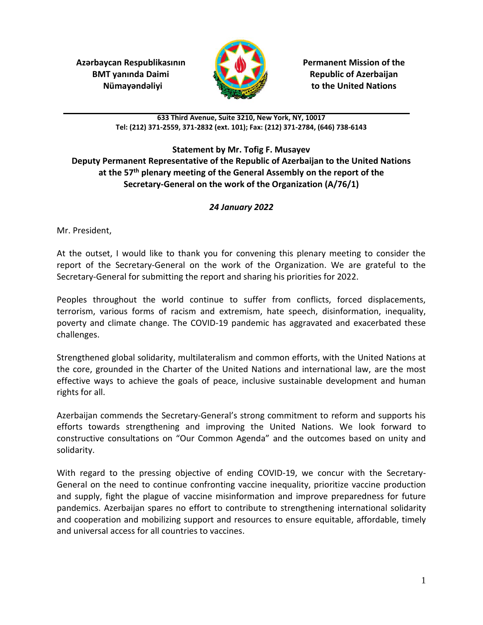**Azərbaycan Respublikasının Permanent Mission of the BMT yanında Daimi Republic of Azerbaijan** 



 **Nümayəndəliyi to the United Nations**

**633 Third Avenue, Suite 3210, New York, NY, 10017 Tel: (212) 371-2559, 371-2832 (ext. 101); Fax: (212) 371-2784, (646) 738-6143**

## **Statement by Mr. Tofig F. Musayev Deputy Permanent Representative of the Republic of Azerbaijan to the United Nations at the 57th plenary meeting of the General Assembly on the report of the Secretary-General on the work of the Organization (A/76/1)**

## *24 January 2022*

Mr. President,

At the outset, I would like to thank you for convening this plenary meeting to consider the report of the Secretary-General on the work of the Organization. We are grateful to the Secretary-General for submitting the report and sharing his priorities for 2022.

Peoples throughout the world continue to suffer from conflicts, forced displacements, terrorism, various forms of racism and extremism, hate speech, disinformation, inequality, poverty and climate change. The COVID-19 pandemic has aggravated and exacerbated these challenges.

Strengthened global solidarity, multilateralism and common efforts, with the United Nations at the core, grounded in the Charter of the United Nations and international law, are the most effective ways to achieve the goals of peace, inclusive sustainable development and human rights for all.

Azerbaijan commends the Secretary-General's strong commitment to reform and supports his efforts towards strengthening and improving the United Nations. We look forward to constructive consultations on "Our Common Agenda" and the outcomes based on unity and solidarity.

With regard to the pressing objective of ending COVID-19, we concur with the Secretary-General on the need to continue confronting vaccine inequality, prioritize vaccine production and supply, fight the plague of vaccine misinformation and improve preparedness for future pandemics. Azerbaijan spares no effort to contribute to strengthening international solidarity and cooperation and mobilizing support and resources to ensure equitable, affordable, timely and universal access for all countries to vaccines.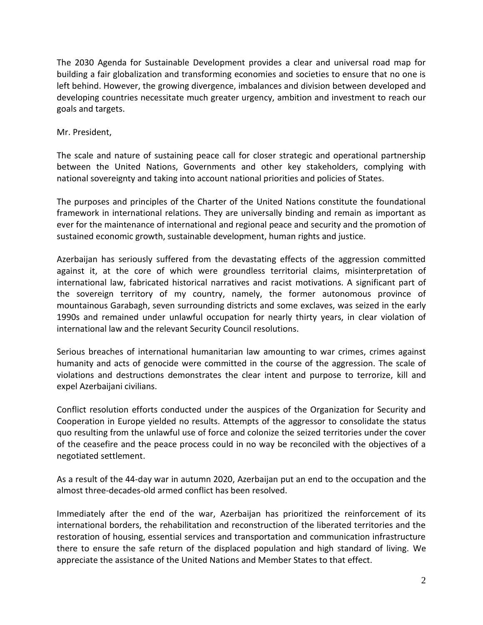The 2030 Agenda for Sustainable Development provides a clear and universal road map for building a fair globalization and transforming economies and societies to ensure that no one is left behind. However, the growing divergence, imbalances and division between developed and developing countries necessitate much greater urgency, ambition and investment to reach our goals and targets.

Mr. President,

The scale and nature of sustaining peace call for closer strategic and operational partnership between the United Nations, Governments and other key stakeholders, complying with national sovereignty and taking into account national priorities and policies of States.

The purposes and principles of the Charter of the United Nations constitute the foundational framework in international relations. They are universally binding and remain as important as ever for the maintenance of international and regional peace and security and the promotion of sustained economic growth, sustainable development, human rights and justice.

Azerbaijan has seriously suffered from the devastating effects of the aggression committed against it, at the core of which were groundless territorial claims, misinterpretation of international law, fabricated historical narratives and racist motivations. A significant part of the sovereign territory of my country, namely, the former autonomous province of mountainous Garabagh, seven surrounding districts and some exclaves, was seized in the early 1990s and remained under unlawful occupation for nearly thirty years, in clear violation of international law and the relevant Security Council resolutions.

Serious breaches of international humanitarian law amounting to war crimes, crimes against humanity and acts of genocide were committed in the course of the aggression. The scale of violations and destructions demonstrates the clear intent and purpose to terrorize, kill and expel Azerbaijani civilians.

Conflict resolution efforts conducted under the auspices of the Organization for Security and Cooperation in Europe yielded no results. Attempts of the aggressor to consolidate the status quo resulting from the unlawful use of force and colonize the seized territories under the cover of the ceasefire and the peace process could in no way be reconciled with the objectives of a negotiated settlement.

As a result of the 44-day war in autumn 2020, Azerbaijan put an end to the occupation and the almost three-decades-old armed conflict has been resolved.

Immediately after the end of the war, Azerbaijan has prioritized the reinforcement of its international borders, the rehabilitation and reconstruction of the liberated territories and the restoration of housing, essential services and transportation and communication infrastructure there to ensure the safe return of the displaced population and high standard of living. We appreciate the assistance of the United Nations and Member States to that effect.